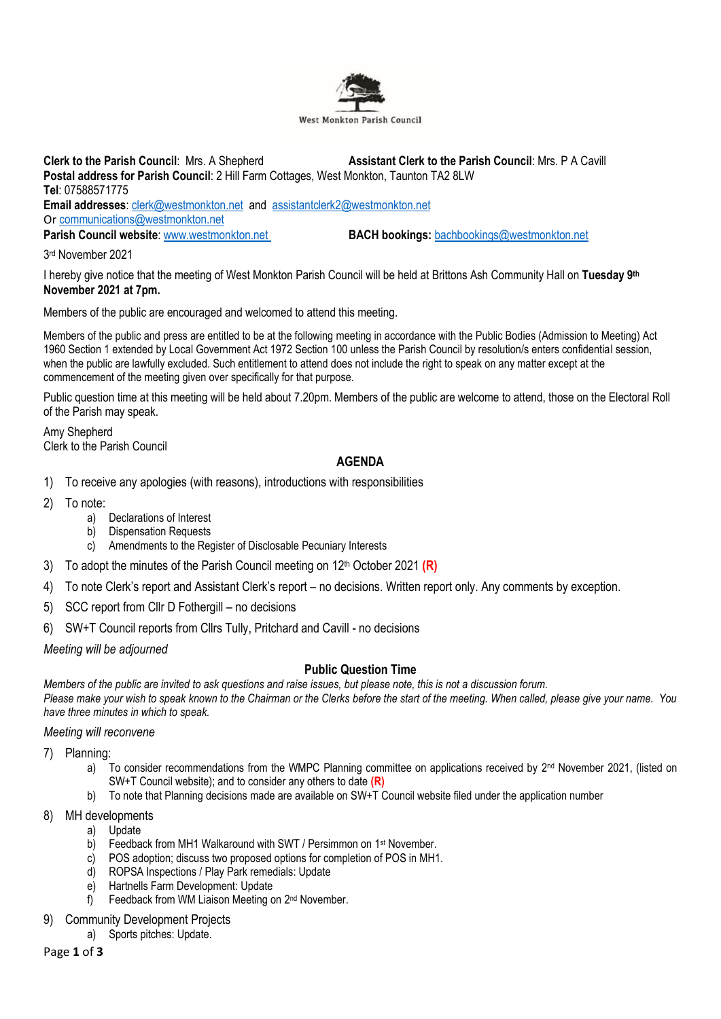

**Clerk to the Parish Council**: Mrs. A Shepherd **Assistant Clerk to the Parish Council**: Mrs. P A Cavill **Postal address for Parish Council**: 2 Hill Farm Cottages, West Monkton, Taunton TA2 8LW **Tel**: 07588571775 **Email addresses**: [clerk@westmonkton.net](mailto:clerk@westmonkton.net) and [assistantclerk2@westmonkton.net](mailto:assistantclerk2@westmonkton.net) Or [communications@westmonkton.net](mailto:communications@westmonkton.net) **Parish Council website**: [www.westmonkton.net](http://www.westmonkton.net/) **BACH bookings:** [bachbookings@westmonkton.net](mailto:bachbookings@westmonkton.net)

3 rd November 2021

I hereby give notice that the meeting of West Monkton Parish Council will be held at Brittons Ash Community Hall on **Tuesday 9 th November 2021 at 7pm.**

Members of the public are encouraged and welcomed to attend this meeting.

Members of the public and press are entitled to be at the following meeting in accordance with the Public Bodies (Admission to Meeting) Act 1960 Section 1 extended by Local Government Act 1972 Section 100 unless the Parish Council by resolution/s enters confidential session, when the public are lawfully excluded. Such entitlement to attend does not include the right to speak on any matter except at the commencement of the meeting given over specifically for that purpose.

Public question time at this meeting will be held about 7.20pm. Members of the public are welcome to attend, those on the Electoral Roll of the Parish may speak.

Amy Shepherd Clerk to the Parish Council

## **AGENDA**

- 1) To receive any apologies (with reasons), introductions with responsibilities
- 2) To note:
	- a) Declarations of Interest
	- b) Dispensation Requests
	- c) Amendments to the Register of Disclosable Pecuniary Interests
- 3) To adopt the minutes of the Parish Council meeting on 12 th October 2021 **(R)**
- 4) To note Clerk's report and Assistant Clerk's report no decisions. Written report only. Any comments by exception.
- 5) SCC report from Cllr D Fothergill no decisions
- 6) SW+T Council reports from Cllrs Tully, Pritchard and Cavill no decisions

*Meeting will be adjourned*

### **Public Question Time**

*Members of the public are invited to ask questions and raise issues, but please note, this is not a discussion forum. Please make your wish to speak known to the Chairman or the Clerks before the start of the meeting. When called, please give your name. You have three minutes in which to speak.*

*Meeting will reconvene*

7) Planning:

- a) To consider recommendations from the WMPC Planning committee on applications received by 2<sup>nd</sup> November 2021, (listed on SW+T Council website); and to consider any others to date **(R)**
- b) To note that Planning decisions made are available on SW+T Council website filed under the application number
- 8) MH developments
	- a) Update
	- b) Feedback from MH1 Walkaround with SWT / Persimmon on 1<sup>st</sup> November.
	- c) POS adoption; discuss two proposed options for completion of POS in MH1.
	- d) ROPSA Inspections / Play Park remedials: Update
	- e) Hartnells Farm Development: Update
	- f) Feedback from WM Liaison Meeting on 2<sup>nd</sup> November.
- **Community Development Projects** 
	- a) Sports pitches: Update.

Page **1** of **3**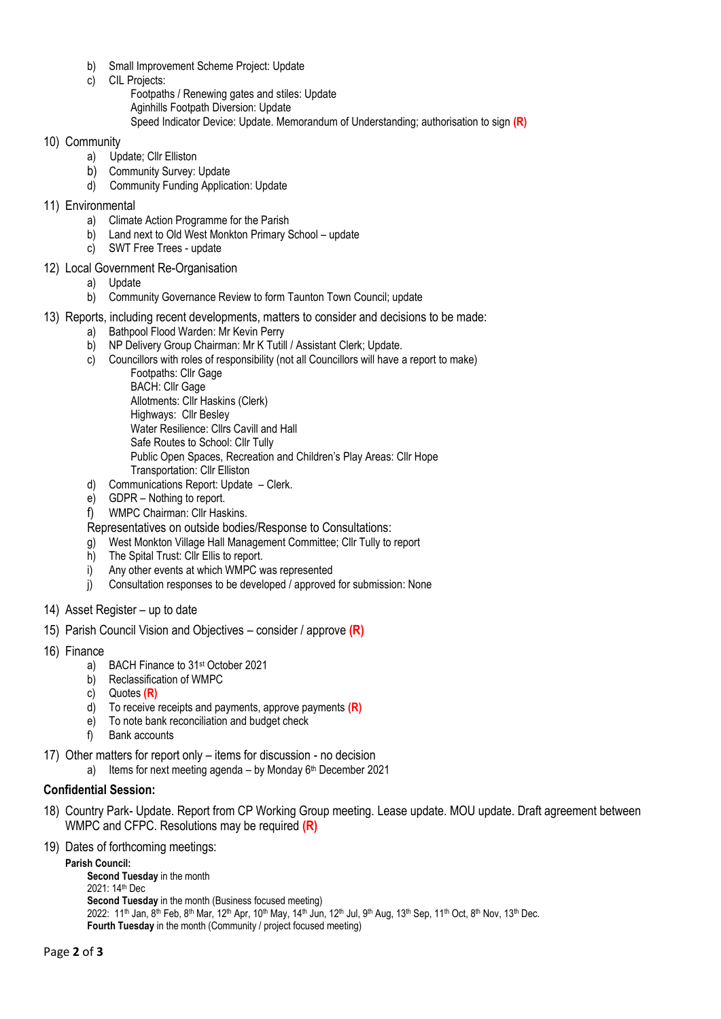- b) Small Improvement Scheme Project: Update
- c) CIL Projects:
	- Footpaths / Renewing gates and stiles: Update
	- Aginhills Footpath Diversion: Update
	- Speed Indicator Device: Update. Memorandum of Understanding; authorisation to sign **(R)**

#### 10) Community

- a) Update; Cllr Elliston
- b) Community Survey: Update
- d) Community Funding Application: Update
- 11) Environmental
	- a) Climate Action Programme for the Parish
	- b) Land next to Old West Monkton Primary School update
	- c) SWT Free Trees update

## 12) Local Government Re-Organisation

- a) Update
- b) Community Governance Review to form Taunton Town Council; update
- 13) Reports, including recent developments, matters to consider and decisions to be made:
	- a) Bathpool Flood Warden: Mr Kevin Perry
		- b) NP Delivery Group Chairman: Mr K Tutill / Assistant Clerk; Update.
		- c) Councillors with roles of responsibility (not all Councillors will have a report to make)
			- Footpaths: Cllr Gage BACH: Cllr Gage Allotments: Cllr Haskins (Clerk) Highways: Cllr Besley Water Resilience: Cllrs Cavill and Hall Safe Routes to School: Cllr Tully Public Open Spaces, Recreation and Children's Play Areas: Cllr Hope Transportation: Cllr Elliston
		- d) Communications Report: Update Clerk.
		- e) GDPR Nothing to report.
		- f) WMPC Chairman: Cllr Haskins.

Representatives on outside bodies/Response to Consultations:

- g) West Monkton Village Hall Management Committee; Cllr Tully to report
- h) The Spital Trust: Cllr Ellis to report.
- i) Any other events at which WMPC was represented
- j) Consultation responses to be developed / approved for submission: None
- 14) Asset Register up to date
- 15) Parish Council Vision and Objectives consider / approve **(R)**
- 16) Finance
	- a) BACH Finance to 31<sup>st</sup> October 2021
	- b) Reclassification of WMPC
	- c) Quotes **(R)**
	- d) To receive receipts and payments, approve payments **(R)**
	- e) To note bank reconciliation and budget check
	- f) Bank accounts
- 17) Other matters for report only items for discussion no decision
	- a) Items for next meeting agenda by Monday 6<sup>th</sup> December 2021

# **Confidential Session:**

- 18) Country Park- Update. Report from CP Working Group meeting. Lease update. MOU update. Draft agreement between WMPC and CFPC. Resolutions may be required **(R)**
- 19) Dates of forthcoming meetings:

**Parish Council: Second Tuesday** in the month 2021: 14th Dec **Second Tuesday** in the month (Business focused meeting)  $2022: 11<sup>th</sup>$  Jan, 8<sup>th</sup> Feb, 8<sup>th</sup> Mar, 12<sup>th</sup> Apr, 10<sup>th</sup> May, 14<sup>th</sup> Jun, 12<sup>th</sup> Jul, 9<sup>th</sup> Aug, 13<sup>th</sup> Sep, 11<sup>th</sup> Oct, 8<sup>th</sup> Nov, 13<sup>th</sup> Dec. **Fourth Tuesday** in the month (Community / project focused meeting)